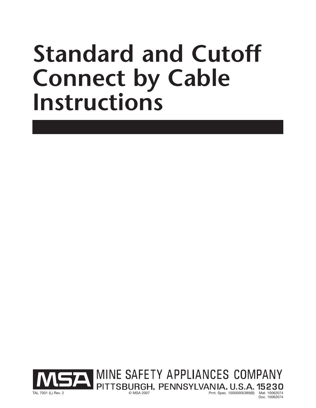# **Standard and Cutoff Connect by Cable Instructions**

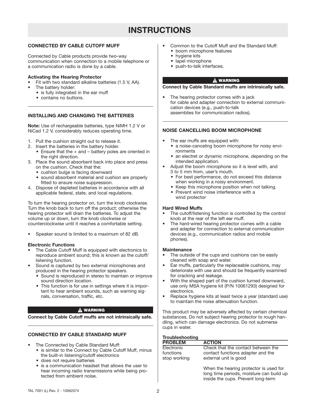# **INSTRUCTIONS**

# **CONNECTED BY CABLE CUTOFF MUFF**

Connected by Cable products provide two-way communication when connection to a mobile telephone or a communication radio is done by a cable.

#### **Activating the Hearing Protector**

- Fit with two standard alkaline batteries (1.5 V, AA).
- The battery holder:
	- is fully integrated in the ear muff
	- contains no buttons.

## **INSTALLING AND CHANGING THE BATTERIES**

**Note:** Use of rechargeable batteries, type NiMH 1.2 V or NiCad 1.2 V, considerably reduces operating time.

- 1. Pull the cushion straight out to release it.
- 2. Insert the batteries in the battery holder.
	- Ensure that the + and battery poles are oriented in the right direction.
- 3. Place the sound absorbent back into place and press on the cushion. Check that the:
	- cushion bulge is facing downward
	- sound absorbent material and cushion are properly fitted to ensure noise suppression.
- 4. Dispose of depleted batteries in accordance with all applicable federal, state, and local regulations.

To turn the hearing protector on, turn the knob clockwise. Turn the knob back to turn off the product; otherwise the hearing protector will drain the batteries. To adjust the volume up or down, turn the knob clockwise or counterclockwise until it reaches a comfortable setting.

• Speaker sound is limited to a maximum of 82 dB.

#### **Electronic Functions**

- The Cable Cutoff Muff is equipped with electronics to reproduce ambient sound; this is known as the cutoff/ listening function.
- Sound is captured by two external microphones and produced in the hearing protector speakers.
	- Sound is reproduced in stereo to maintain or improve sound direction location.
	- This function is for use in settings where it is important to hear ambient sounds, such as warning signals, conversation, traffic, etc.

#### A WARNING

**Connect by Cable Cutoff muffs are not intrinsically safe.**

## **CONNECTED BY CABLE STANDARD MUFF**

- The Connected by Cable Standard Muff:
	- is similar to the Connect by Cable Cutoff Muff, minus the built-in listening/cutoff electronics
	- does not require batteries
	- is a communication headset that allows the user to hear incoming radio transmissions while being protected from ambient noise.
- Common to the Cutoff Muff and the Standard Muff: • boom microphone features
	- hygiene kits
	- lapel microphone
	- push-to-talk interfaces.

#### **A WARNING**

**Connect by Cable Standard muffs are intrinsically safe.**

The hearing protector comes with a jack for cable and adapter connection to external communication devices (e.g., push-to-talk assemblies for communication radios).

## **NOISE CANCELLING BOOM MICROPHONE**

- The ear muffs are equipped with:
	- a noise-canceling boom microphone for noisy environments
	- an electret or dynamic microphone, depending on the intended application.
- Adjust the boom microphone so it is level with, and 3 to 5 mm from, user's mouth.
	- For best performance, do not exceed this distance when working in a noisy environment.
	- Keep this microphone position when not talking.
	- Prevent wind noise interference with a wind protector

#### **Hard Wired Muffs**

- The cutoff/listening function is controlled by the control knob at the rear of the left ear muff.
- The hard-wired hearing protector comes with a cable and adapter for connection to external communication devices (e.g., communication radios and mobile phones).

#### **Maintenance**

- The outside of the cups and cushions can be easily cleaned with soap and water.
- Ear muffs, particularly the replaceable cushions, may deteriorate with use and should be frequently examined for cracking and leakage.
- With the shaped part of the cushion turned downward, use only MSA hygiene kit (P/N 10061293) designed for electronics.
- Replace hygiene kits at least twice a year (standard use) to maintain the noise attenuation function.

This product may be adversely affected by certain chemical substances. Do not subject hearing protector to rough handling, which can damage electronics. Do not submerse cups in water.

## **Troubleshooting**

| <b>PROBLEM</b>            | <b>ACTION</b>                                              |
|---------------------------|------------------------------------------------------------|
| Electronic                | Check that the contact between the                         |
| functions<br>stop working | contact functions adapter and the<br>external unit is good |
|                           | When the hearing protector is used for                     |

When the hearing protector is used for long time periods, moisture can build up inside the cups. Prevent long-term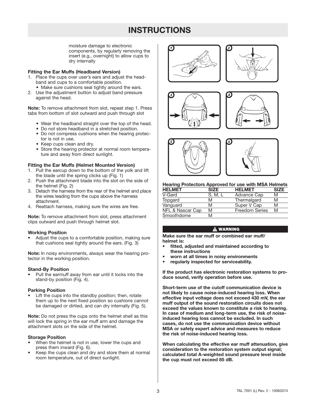# **INSTRUCTIONS**

moisture damage to electronic components, by regularly removing the insert (e.g., overnight) to allow cups to dry internally

#### **Fitting the Ear Muffs (Headband Version)**

- 1. Place the cups over user's ears and adjust the headband and cups to a comfortable position.
	- Make sure cushions seal tightly around the ears.
- 2. Use the adjustment button to adjust band pressure against the head.

**Note:** To remove attachment from slot, repeat step 1. Press tabs from bottom of slot outward and push through slot

- Wear the headband straight over the top of the head.
- Do not store headband in a stretched position.
- Do not compress cushions when the hearing protector is not in use.
- Keep cups clean and dry.
- Store the hearing protector at normal room temperature and away from direct sunlight.

#### **Fitting the Ear Muffs (Helmet Mounted Version)**

- 1. Pull the earcup down to the bottom of the yolk and lift the blade until the spring clicks up (Fig. 1)
- 2. Push the attachment blade into the slot on the side of the helmet (Fig. 2)
- 3. Detach the harness from the rear of the helmet and place the wires leading from the cups above the harness attachment.
- 4. Reattach harness, making sure the wires are free.

**Note:** To remove attachment from slot, press attachment clips outward and push through helmet slot.

#### **Working Position**

• Adjust the cups to a comfortable position, making sure that cushions seal tightly around the ears. (Fig. 3)

**Note:** In noisy environments, always wear the hearing protector in the working position.

#### **Stand-By Position**

• Pull the earmuff away from ear until it locks into the stand-by position (Fig. 4).

#### **Parking Position**

Lift the cups into the standby position; then, rotate them up to the next fixed position so cushions cannot be damaged or dirtied, and can dry internally (Fig. 5).

**Note:** Do not press the cups onto the helmet shell as this will lock the spring in the ear muff arm and damage the attachment slots on the side of the helmet.

#### **Storage Position**

- When the helmet is not in use, lower the cups and press them inward (Fig. 6).
- Keep the cups clean and dry and store them at normal room temperature, out of direct sunlight.











### **Hearing Protectors Approved for use with MSA Helmets**

| <b>HELMET</b>    | <b>SIZE</b> | <b>HELMET</b>         | <b>SIZE</b> |
|------------------|-------------|-----------------------|-------------|
| V-Gard           | S. M.       | Advance Cap           | M           |
| Topgard          | M           | Thermalgard           | M           |
| Vanguard         | M           | Super V Cap           | M           |
| NFL & Nascar Cap | M           | <b>Freedom Series</b> | M           |
| Smoothdome       | M           |                       |             |

#### **A WARNING**

**Make sure the ear muff or combined ear muff/ helmet is:**

- **• fitted, adjusted and maintained according to these instructions**
- **• worn at all times in noisy environments**
- **• regularly inspected for serviceability.**

**If the product has electronic restoration systems to produce sound, verify operation before use.**

**Short-term use of the cutoff communication device is not likely to cause noise-induced hearing loss. When effective input voltage does not exceed 430 mV, the ear muff output of the sound restoration circuits does not exceed the values known to constitute a risk to hearing. In case of medium and long-term use, the risk of noiseinduced hearing loss cannot be excluded. In such cases, do not use the communication device without MSA or safety expert advice and measures to reduce the risk of noise-induced hearing loss.**

**When calculating the effective ear muff attenuation, give consideration to the restoration system output signal; calculated total A-weighted sound pressure level inside the cup must not exceed 85 dB.**